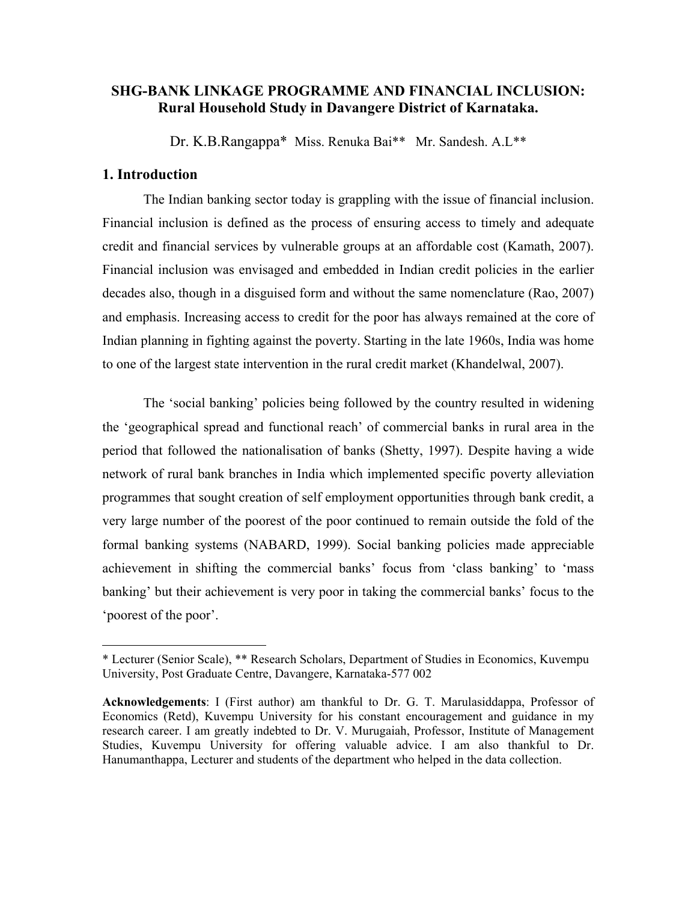# **SHG-BANK LINKAGE PROGRAMME AND FINANCIAL INCLUSION: Rural Household Study in Davangere District of Karnataka.**

Dr. K.B.Rangappa\* Miss. Renuka Bai\*\* Mr. Sandesh. A.L\*\*

## **1. Introduction**

 $\overline{a}$ 

The Indian banking sector today is grappling with the issue of financial inclusion. Financial inclusion is defined as the process of ensuring access to timely and adequate credit and financial services by vulnerable groups at an affordable cost (Kamath, 2007). Financial inclusion was envisaged and embedded in Indian credit policies in the earlier decades also, though in a disguised form and without the same nomenclature (Rao, 2007) and emphasis. Increasing access to credit for the poor has always remained at the core of Indian planning in fighting against the poverty. Starting in the late 1960s, India was home to one of the largest state intervention in the rural credit market (Khandelwal, 2007).

The 'social banking' policies being followed by the country resulted in widening the 'geographical spread and functional reach' of commercial banks in rural area in the period that followed the nationalisation of banks (Shetty, 1997). Despite having a wide network of rural bank branches in India which implemented specific poverty alleviation programmes that sought creation of self employment opportunities through bank credit, a very large number of the poorest of the poor continued to remain outside the fold of the formal banking systems (NABARD, 1999). Social banking policies made appreciable achievement in shifting the commercial banks' focus from 'class banking' to 'mass banking' but their achievement is very poor in taking the commercial banks' focus to the 'poorest of the poor'.

<sup>\*</sup> Lecturer (Senior Scale), \*\* Research Scholars, Department of Studies in Economics, Kuvempu University, Post Graduate Centre, Davangere, Karnataka-577 002

**Acknowledgements**: I (First author) am thankful to Dr. G. T. Marulasiddappa, Professor of Economics (Retd), Kuvempu University for his constant encouragement and guidance in my research career. I am greatly indebted to Dr. V. Murugaiah, Professor, Institute of Management Studies, Kuvempu University for offering valuable advice. I am also thankful to Dr. Hanumanthappa, Lecturer and students of the department who helped in the data collection.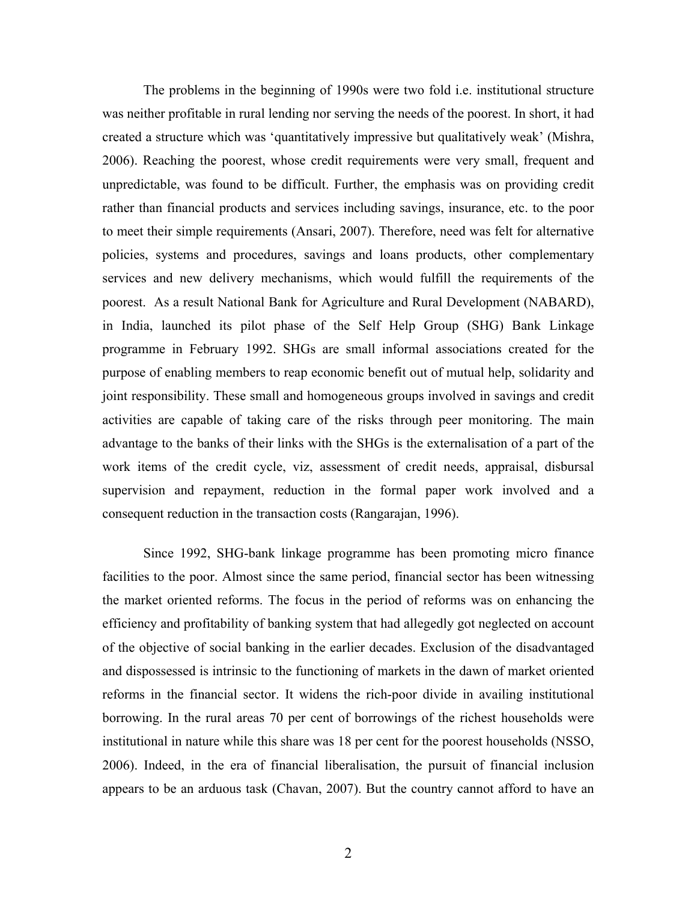The problems in the beginning of 1990s were two fold i.e. institutional structure was neither profitable in rural lending nor serving the needs of the poorest. In short, it had created a structure which was 'quantitatively impressive but qualitatively weak' (Mishra, 2006). Reaching the poorest, whose credit requirements were very small, frequent and unpredictable, was found to be difficult. Further, the emphasis was on providing credit rather than financial products and services including savings, insurance, etc. to the poor to meet their simple requirements (Ansari, 2007). Therefore, need was felt for alternative policies, systems and procedures, savings and loans products, other complementary services and new delivery mechanisms, which would fulfill the requirements of the poorest. As a result National Bank for Agriculture and Rural Development (NABARD), in India, launched its pilot phase of the Self Help Group (SHG) Bank Linkage programme in February 1992. SHGs are small informal associations created for the purpose of enabling members to reap economic benefit out of mutual help, solidarity and joint responsibility. These small and homogeneous groups involved in savings and credit activities are capable of taking care of the risks through peer monitoring. The main advantage to the banks of their links with the SHGs is the externalisation of a part of the work items of the credit cycle, viz, assessment of credit needs, appraisal, disbursal supervision and repayment, reduction in the formal paper work involved and a consequent reduction in the transaction costs (Rangarajan, 1996).

Since 1992, SHG-bank linkage programme has been promoting micro finance facilities to the poor. Almost since the same period, financial sector has been witnessing the market oriented reforms. The focus in the period of reforms was on enhancing the efficiency and profitability of banking system that had allegedly got neglected on account of the objective of social banking in the earlier decades. Exclusion of the disadvantaged and dispossessed is intrinsic to the functioning of markets in the dawn of market oriented reforms in the financial sector. It widens the rich-poor divide in availing institutional borrowing. In the rural areas 70 per cent of borrowings of the richest households were institutional in nature while this share was 18 per cent for the poorest households (NSSO, 2006). Indeed, in the era of financial liberalisation, the pursuit of financial inclusion appears to be an arduous task (Chavan, 2007). But the country cannot afford to have an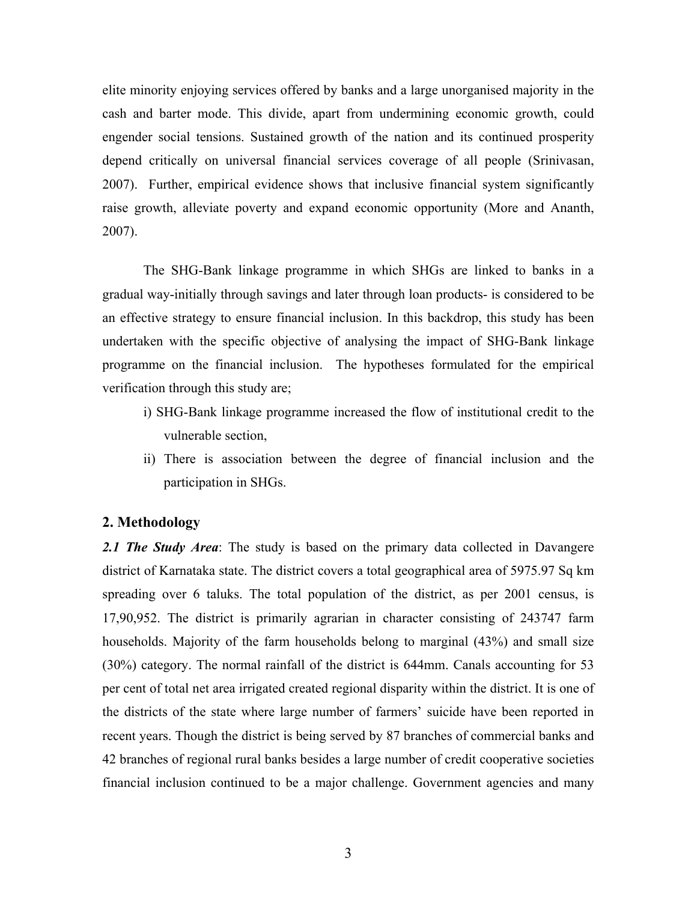elite minority enjoying services offered by banks and a large unorganised majority in the cash and barter mode. This divide, apart from undermining economic growth, could engender social tensions. Sustained growth of the nation and its continued prosperity depend critically on universal financial services coverage of all people (Srinivasan, 2007). Further, empirical evidence shows that inclusive financial system significantly raise growth, alleviate poverty and expand economic opportunity (More and Ananth, 2007).

The SHG-Bank linkage programme in which SHGs are linked to banks in a gradual way-initially through savings and later through loan products- is considered to be an effective strategy to ensure financial inclusion. In this backdrop, this study has been undertaken with the specific objective of analysing the impact of SHG-Bank linkage programme on the financial inclusion. The hypotheses formulated for the empirical verification through this study are;

- i) SHG-Bank linkage programme increased the flow of institutional credit to the vulnerable section,
- ii) There is association between the degree of financial inclusion and the participation in SHGs.

#### **2. Methodology**

*2.1 The Study Area*: The study is based on the primary data collected in Davangere district of Karnataka state. The district covers a total geographical area of 5975.97 Sq km spreading over 6 taluks. The total population of the district, as per 2001 census, is 17,90,952. The district is primarily agrarian in character consisting of 243747 farm households. Majority of the farm households belong to marginal (43%) and small size (30%) category. The normal rainfall of the district is 644mm. Canals accounting for 53 per cent of total net area irrigated created regional disparity within the district. It is one of the districts of the state where large number of farmers' suicide have been reported in recent years. Though the district is being served by 87 branches of commercial banks and 42 branches of regional rural banks besides a large number of credit cooperative societies financial inclusion continued to be a major challenge. Government agencies and many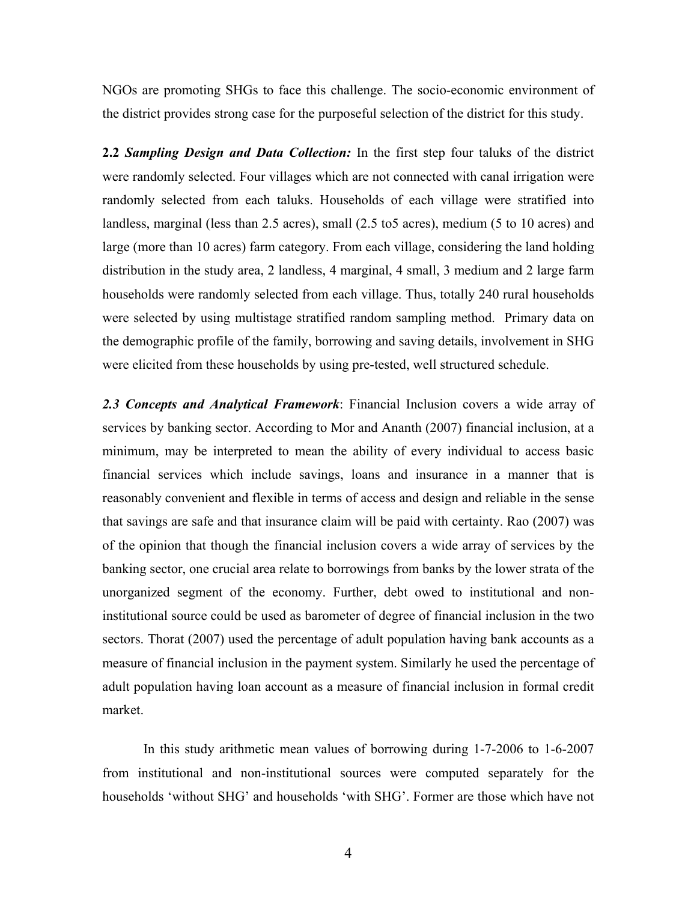NGOs are promoting SHGs to face this challenge. The socio-economic environment of the district provides strong case for the purposeful selection of the district for this study.

**2.2** *Sampling Design and Data Collection:* In the first step four taluks of the district were randomly selected. Four villages which are not connected with canal irrigation were randomly selected from each taluks. Households of each village were stratified into landless, marginal (less than 2.5 acres), small (2.5 to5 acres), medium (5 to 10 acres) and large (more than 10 acres) farm category. From each village, considering the land holding distribution in the study area, 2 landless, 4 marginal, 4 small, 3 medium and 2 large farm households were randomly selected from each village. Thus, totally 240 rural households were selected by using multistage stratified random sampling method. Primary data on the demographic profile of the family, borrowing and saving details, involvement in SHG were elicited from these households by using pre-tested, well structured schedule.

*2.3 Concepts and Analytical Framework*: Financial Inclusion covers a wide array of services by banking sector. According to Mor and Ananth (2007) financial inclusion, at a minimum, may be interpreted to mean the ability of every individual to access basic financial services which include savings, loans and insurance in a manner that is reasonably convenient and flexible in terms of access and design and reliable in the sense that savings are safe and that insurance claim will be paid with certainty. Rao (2007) was of the opinion that though the financial inclusion covers a wide array of services by the banking sector, one crucial area relate to borrowings from banks by the lower strata of the unorganized segment of the economy. Further, debt owed to institutional and noninstitutional source could be used as barometer of degree of financial inclusion in the two sectors. Thorat (2007) used the percentage of adult population having bank accounts as a measure of financial inclusion in the payment system. Similarly he used the percentage of adult population having loan account as a measure of financial inclusion in formal credit market.

 In this study arithmetic mean values of borrowing during 1-7-2006 to 1-6-2007 from institutional and non-institutional sources were computed separately for the households 'without SHG' and households 'with SHG'. Former are those which have not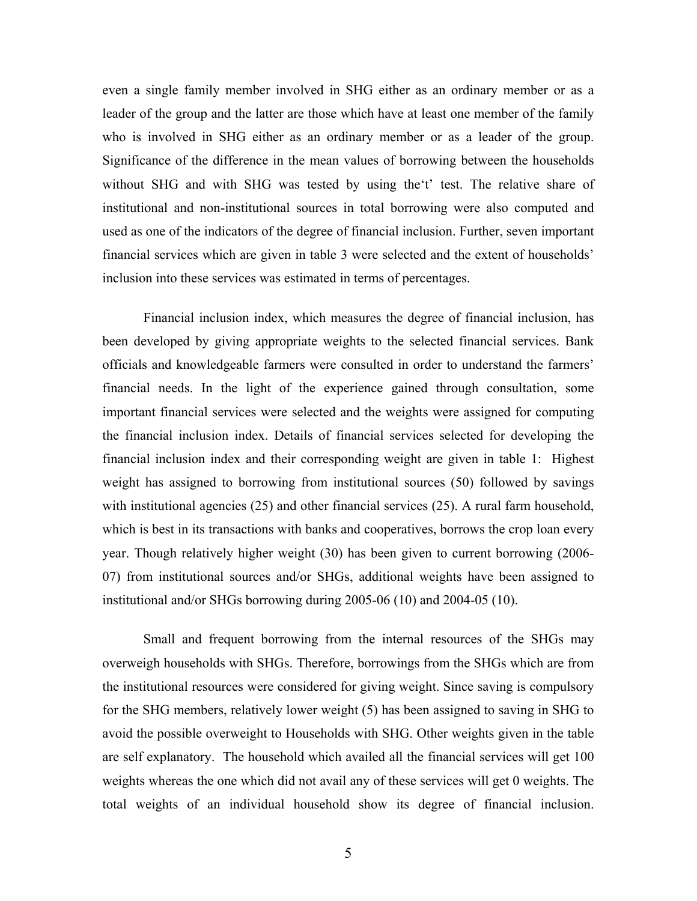even a single family member involved in SHG either as an ordinary member or as a leader of the group and the latter are those which have at least one member of the family who is involved in SHG either as an ordinary member or as a leader of the group. Significance of the difference in the mean values of borrowing between the households without SHG and with SHG was tested by using the 't' test. The relative share of institutional and non-institutional sources in total borrowing were also computed and used as one of the indicators of the degree of financial inclusion. Further, seven important financial services which are given in table 3 were selected and the extent of households' inclusion into these services was estimated in terms of percentages.

Financial inclusion index, which measures the degree of financial inclusion, has been developed by giving appropriate weights to the selected financial services. Bank officials and knowledgeable farmers were consulted in order to understand the farmers' financial needs. In the light of the experience gained through consultation, some important financial services were selected and the weights were assigned for computing the financial inclusion index. Details of financial services selected for developing the financial inclusion index and their corresponding weight are given in table 1: Highest weight has assigned to borrowing from institutional sources (50) followed by savings with institutional agencies (25) and other financial services (25). A rural farm household, which is best in its transactions with banks and cooperatives, borrows the crop loan every year. Though relatively higher weight (30) has been given to current borrowing (2006- 07) from institutional sources and/or SHGs, additional weights have been assigned to institutional and/or SHGs borrowing during 2005-06 (10) and 2004-05 (10).

Small and frequent borrowing from the internal resources of the SHGs may overweigh households with SHGs. Therefore, borrowings from the SHGs which are from the institutional resources were considered for giving weight. Since saving is compulsory for the SHG members, relatively lower weight (5) has been assigned to saving in SHG to avoid the possible overweight to Households with SHG. Other weights given in the table are self explanatory. The household which availed all the financial services will get 100 weights whereas the one which did not avail any of these services will get 0 weights. The total weights of an individual household show its degree of financial inclusion.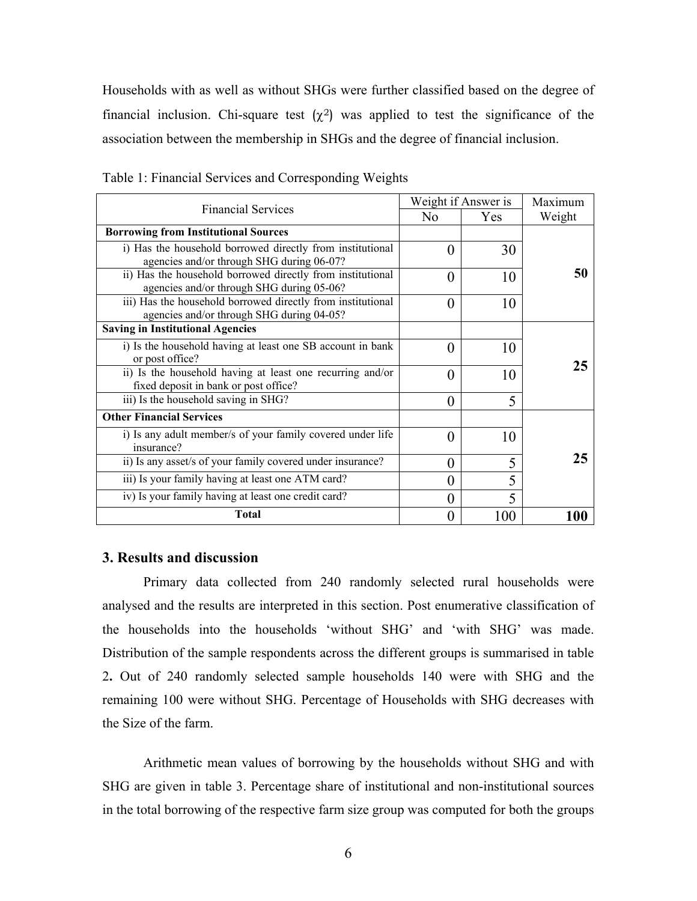Households with as well as without SHGs were further classified based on the degree of financial inclusion. Chi-square test  $(\chi^2)$  was applied to test the significance of the association between the membership in SHGs and the degree of financial inclusion.

|                                                                                                          | Weight if Answer is | Maximum                  |        |
|----------------------------------------------------------------------------------------------------------|---------------------|--------------------------|--------|
| <b>Financial Services</b>                                                                                | No                  | <b>Yes</b>               | Weight |
| <b>Borrowing from Institutional Sources</b>                                                              |                     |                          |        |
| i) Has the household borrowed directly from institutional<br>agencies and/or through SHG during 06-07?   | $\theta$            | 30                       |        |
| ii) Has the household borrowed directly from institutional<br>agencies and/or through SHG during 05-06?  | $\theta$            | 10                       | 50     |
| iii) Has the household borrowed directly from institutional<br>agencies and/or through SHG during 04-05? | $\theta$            | 10                       |        |
| <b>Saving in Institutional Agencies</b>                                                                  |                     |                          |        |
| i) Is the household having at least one SB account in bank<br>or post office?                            | 0                   | 10                       |        |
| ii) Is the household having at least one recurring and/or<br>fixed deposit in bank or post office?       | $\theta$            | 10                       | 25     |
| iii) Is the household saving in SHG?                                                                     | $\theta$            | 5                        |        |
| <b>Other Financial Services</b>                                                                          |                     |                          |        |
| i) Is any adult member/s of your family covered under life<br>insurance?                                 | $\Omega$            | 10                       |        |
| ii) Is any asset/s of your family covered under insurance?                                               | $\Omega$            | 5                        | 25     |
| iii) Is your family having at least one ATM card?                                                        | $\Omega$            | 5                        |        |
| iv) Is your family having at least one credit card?                                                      | 0                   | $\overline{\phantom{0}}$ |        |
| <b>Total</b>                                                                                             | 0                   | 100                      | 100    |

Table 1: Financial Services and Corresponding Weights

### **3. Results and discussion**

Primary data collected from 240 randomly selected rural households were analysed and the results are interpreted in this section. Post enumerative classification of the households into the households 'without SHG' and 'with SHG' was made. Distribution of the sample respondents across the different groups is summarised in table 2**.** Out of 240 randomly selected sample households 140 were with SHG and the remaining 100 were without SHG. Percentage of Households with SHG decreases with the Size of the farm.

Arithmetic mean values of borrowing by the households without SHG and with SHG are given in table 3. Percentage share of institutional and non-institutional sources in the total borrowing of the respective farm size group was computed for both the groups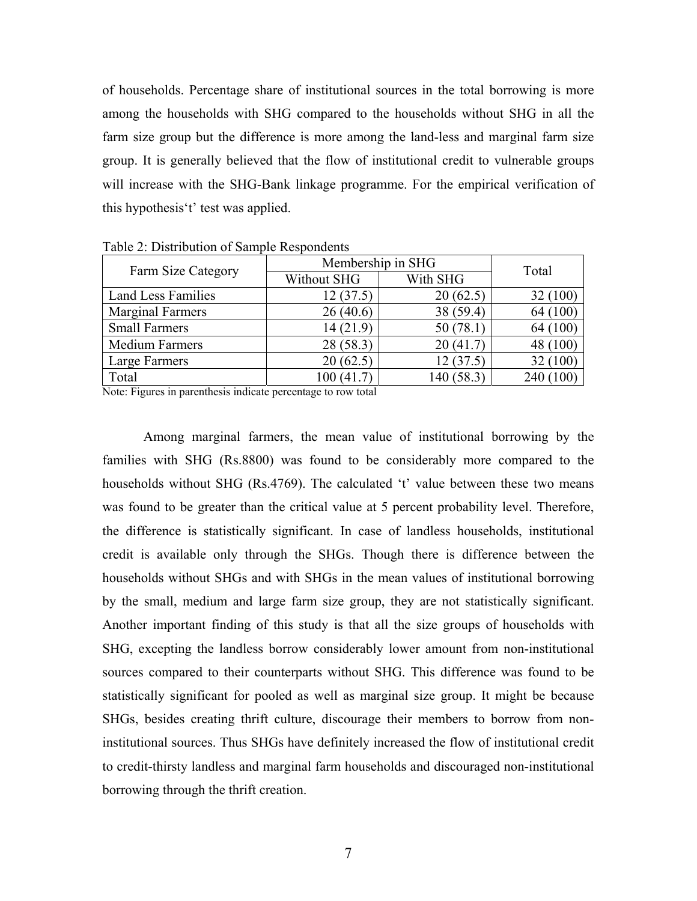of households. Percentage share of institutional sources in the total borrowing is more among the households with SHG compared to the households without SHG in all the farm size group but the difference is more among the land-less and marginal farm size group. It is generally believed that the flow of institutional credit to vulnerable groups will increase with the SHG-Bank linkage programme. For the empirical verification of this hypothesis't' test was applied.

| Farm Size Category        | Membership in SHG       | Total      |           |
|---------------------------|-------------------------|------------|-----------|
|                           | With SHG<br>Without SHG |            |           |
| <b>Land Less Families</b> | 12(37.5)                | 20(62.5)   | 32 (100)  |
| <b>Marginal Farmers</b>   | 26(40.6)                | 38 (59.4)  | 64 (100)  |
| <b>Small Farmers</b>      | 14(21.9)                | 50(78.1)   | 64 (100)  |
| <b>Medium Farmers</b>     | 28 (58.3)               | 20(41.7)   | 48 (100)  |
| Large Farmers             | 20(62.5)                | 12(37.5)   | 32 (100)  |
| Total                     | 100(41.7)               | 140 (58.3) | 240 (100) |

Table 2: Distribution of Sample Respondents

Note: Figures in parenthesis indicate percentage to row total

Among marginal farmers, the mean value of institutional borrowing by the families with SHG (Rs.8800) was found to be considerably more compared to the households without SHG (Rs.4769). The calculated 't' value between these two means was found to be greater than the critical value at 5 percent probability level. Therefore, the difference is statistically significant. In case of landless households, institutional credit is available only through the SHGs. Though there is difference between the households without SHGs and with SHGs in the mean values of institutional borrowing by the small, medium and large farm size group, they are not statistically significant. Another important finding of this study is that all the size groups of households with SHG, excepting the landless borrow considerably lower amount from non-institutional sources compared to their counterparts without SHG. This difference was found to be statistically significant for pooled as well as marginal size group. It might be because SHGs, besides creating thrift culture, discourage their members to borrow from noninstitutional sources. Thus SHGs have definitely increased the flow of institutional credit to credit-thirsty landless and marginal farm households and discouraged non-institutional borrowing through the thrift creation.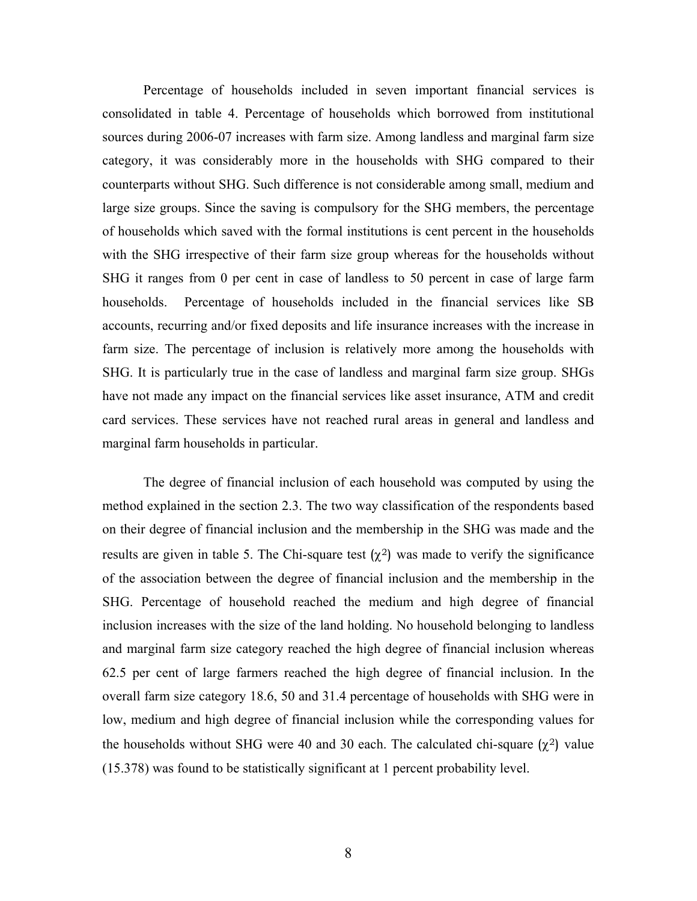Percentage of households included in seven important financial services is consolidated in table 4. Percentage of households which borrowed from institutional sources during 2006-07 increases with farm size. Among landless and marginal farm size category, it was considerably more in the households with SHG compared to their counterparts without SHG. Such difference is not considerable among small, medium and large size groups. Since the saving is compulsory for the SHG members, the percentage of households which saved with the formal institutions is cent percent in the households with the SHG irrespective of their farm size group whereas for the households without SHG it ranges from 0 per cent in case of landless to 50 percent in case of large farm households. Percentage of households included in the financial services like SB accounts, recurring and/or fixed deposits and life insurance increases with the increase in farm size. The percentage of inclusion is relatively more among the households with SHG. It is particularly true in the case of landless and marginal farm size group. SHGs have not made any impact on the financial services like asset insurance, ATM and credit card services. These services have not reached rural areas in general and landless and marginal farm households in particular.

The degree of financial inclusion of each household was computed by using the method explained in the section 2.3. The two way classification of the respondents based on their degree of financial inclusion and the membership in the SHG was made and the results are given in table 5. The Chi-square test  $(\chi^2)$  was made to verify the significance of the association between the degree of financial inclusion and the membership in the SHG. Percentage of household reached the medium and high degree of financial inclusion increases with the size of the land holding. No household belonging to landless and marginal farm size category reached the high degree of financial inclusion whereas 62.5 per cent of large farmers reached the high degree of financial inclusion. In the overall farm size category 18.6, 50 and 31.4 percentage of households with SHG were in low, medium and high degree of financial inclusion while the corresponding values for the households without SHG were 40 and 30 each. The calculated chi-square  $(\chi^2)$  value (15.378) was found to be statistically significant at 1 percent probability level.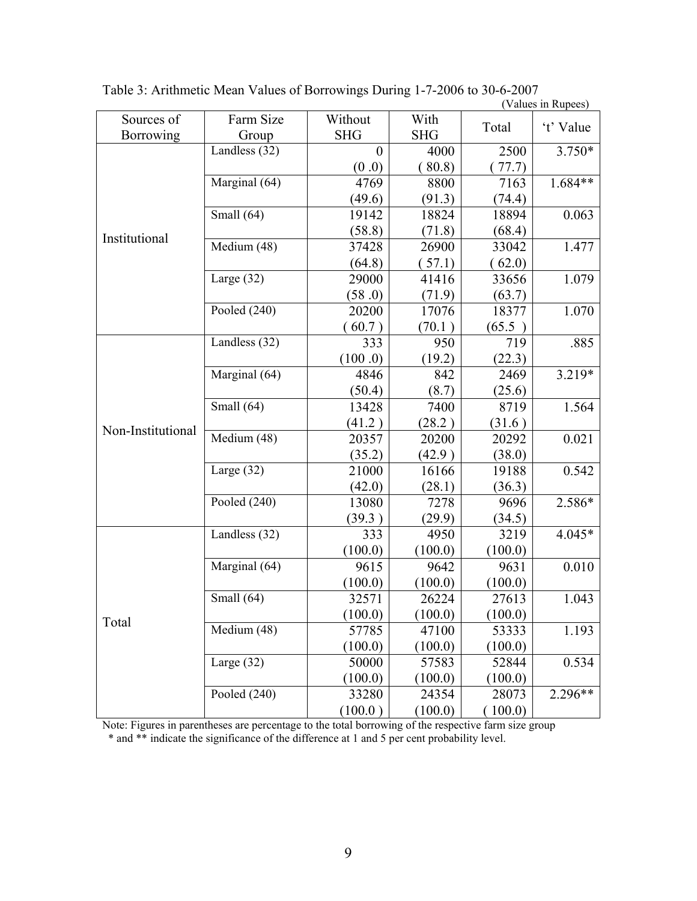|                   |                        |                       |                    |         | $($ values in Rupees) |
|-------------------|------------------------|-----------------------|--------------------|---------|-----------------------|
| Sources of        | Farm Size              | Without<br><b>SHG</b> | With<br><b>SHG</b> | Total   | 't' Value             |
| <b>Borrowing</b>  | Group<br>Landless (32) | $\overline{0}$        | 4000               |         |                       |
| Institutional     |                        |                       |                    | 2500    | $3.750*$              |
|                   |                        | (0.0)                 | 80.8)              | 77.7)   |                       |
|                   | Marginal (64)          | 4769                  | 8800               | 7163    | $1.684**$             |
|                   |                        | (49.6)                | (91.3)             | (74.4)  |                       |
|                   | Small (64)             | 19142                 | 18824              | 18894   | 0.063                 |
|                   |                        | (58.8)                | (71.8)             | (68.4)  |                       |
|                   | Medium (48)            | 37428                 | 26900              | 33042   | 1.477                 |
|                   |                        | (64.8)                | (57.1)             | (62.0)  |                       |
|                   | Large $(32)$           | 29000                 | 41416              | 33656   | 1.079                 |
|                   |                        | (58.0)                | (71.9)             | (63.7)  |                       |
|                   | Pooled $(240)$         | 20200                 | 17076              | 18377   | 1.070                 |
|                   |                        | 60.7)                 | (70.1)             | (65.5)  |                       |
|                   | Landless (32)          | 333                   | 950                | 719     | .885                  |
|                   |                        | (100.0)               | (19.2)             | (22.3)  |                       |
|                   | Marginal (64)          | 4846                  | 842                | 2469    | 3.219*                |
|                   |                        | (50.4)                | (8.7)              | (25.6)  |                       |
|                   | Small $(64)$           | 13428                 | 7400               | 8719    | 1.564                 |
|                   |                        | (41.2)                | (28.2)             | (31.6)  |                       |
| Non-Institutional | Medium (48)            | 20357                 | 20200              | 20292   | 0.021                 |
|                   |                        | (35.2)                | (42.9)             | (38.0)  |                       |
|                   | Large $(32)$           | 21000                 | 16166              | 19188   | 0.542                 |
|                   |                        | (42.0)                | (28.1)             | (36.3)  |                       |
|                   | Pooled $(240)$         | 13080                 | 7278               | 9696    | 2.586*                |
|                   |                        | (39.3)                | (29.9)             | (34.5)  |                       |
| Total             | Landless (32)          | 333                   | 4950               | 3219    | 4.045*                |
|                   |                        | (100.0)               | (100.0)            | (100.0) |                       |
|                   | Marginal (64)          | 9615                  | 9642               | 9631    | 0.010                 |
|                   |                        | (100.0)               | (100.0)            | (100.0) |                       |
|                   | Small $(64)$           | 32571                 | 26224              | 27613   | 1.043                 |
|                   |                        | (100.0)               | (100.0)            | (100.0) |                       |
|                   | Medium (48)            | 57785                 | 47100              | 53333   | 1.193                 |
|                   |                        | (100.0)               | (100.0)            | (100.0) |                       |
|                   | Large $(32)$           | 50000                 | 57583              | 52844   | 0.534                 |
|                   |                        | (100.0)               | (100.0)            | (100.0) |                       |
|                   | Pooled $(240)$         | 33280                 | 24354              | 28073   | 2.296**               |
|                   |                        | (100.0)               | (100.0)            | 100.0   |                       |

Table 3: Arithmetic Mean Values of Borrowings During 1-7-2006 to 30-6-2007

Note: Figures in parentheses are percentage to the total borrowing of the respective farm size group

\* and \*\* indicate the significance of the difference at 1 and 5 per cent probability level.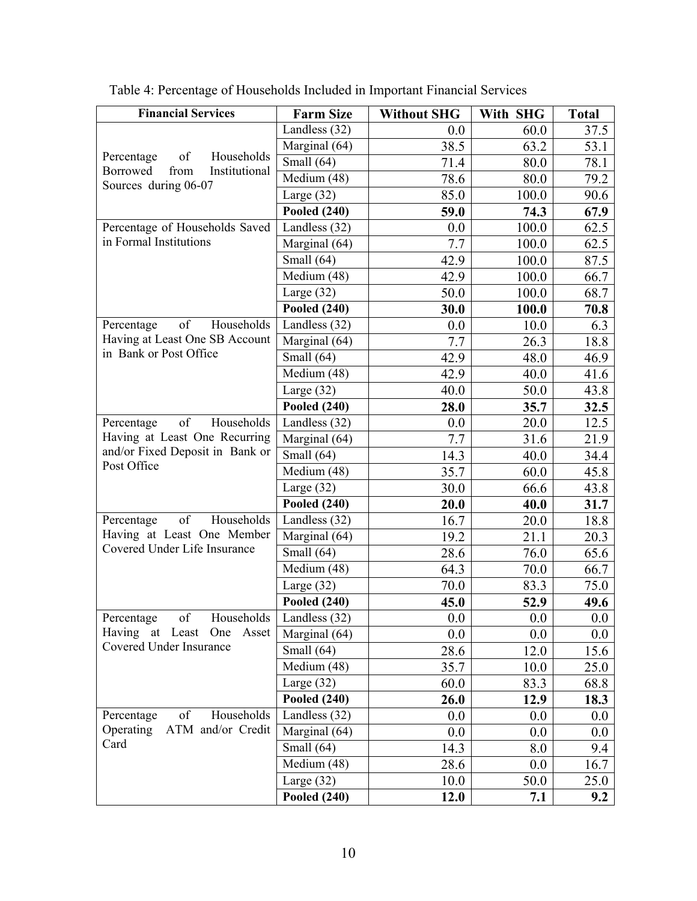| <b>Financial Services</b>                                           | <b>Farm Size</b>                 | <b>Without SHG</b> | With SHG | <b>Total</b> |
|---------------------------------------------------------------------|----------------------------------|--------------------|----------|--------------|
|                                                                     | Landless (32)                    | 0.0                | 60.0     | 37.5         |
|                                                                     | Marginal (64)                    | 38.5               | 63.2     | 53.1         |
| Households<br>Percentage<br>of<br>from<br>Institutional<br>Borrowed | Small $(64)$                     | 71.4               | 80.0     | 78.1         |
| Sources during 06-07                                                | Medium (48)                      | 78.6               | 80.0     | 79.2         |
|                                                                     | Large $(32)$                     | 85.0               | 100.0    | 90.6         |
|                                                                     | <b>Pooled (240)</b>              | 59.0               | 74.3     | 67.9         |
| Percentage of Households Saved                                      | Landless $(32)$                  | 0.0                | 100.0    | 62.5         |
| in Formal Institutions                                              | $\overline{\text{Marginal}}(64)$ | 7.7                | 100.0    | 62.5         |
|                                                                     | Small (64)                       | 42.9               | 100.0    | 87.5         |
|                                                                     | Medium (48)                      | 42.9               | 100.0    | 66.7         |
|                                                                     | Large $(32)$                     | 50.0               | 100.0    | 68.7         |
|                                                                     | <b>Pooled (240)</b>              | 30.0               | 100.0    | 70.8         |
| of<br>Households<br>Percentage                                      | Landless $(32)$                  | 0.0                | 10.0     | 6.3          |
| Having at Least One SB Account                                      | Marginal (64)                    | 7.7                | 26.3     | 18.8         |
| in Bank or Post Office                                              | Small (64)                       | 42.9               | 48.0     | 46.9         |
|                                                                     | Medium (48)                      | 42.9               | 40.0     | 41.6         |
|                                                                     | Large $(32)$                     | 40.0               | 50.0     | 43.8         |
|                                                                     | <b>Pooled (240)</b>              | 28.0               | 35.7     | 32.5         |
| of<br>Households<br>Percentage                                      | Landless (32)                    | 0.0                | 20.0     | 12.5         |
| Having at Least One Recurring                                       | Marginal (64)                    | 7.7                | 31.6     | 21.9         |
| and/or Fixed Deposit in Bank or                                     | $\overline{\text{Small}}$ (64)   | 14.3               | 40.0     | 34.4         |
| Post Office                                                         | Medium (48)                      | 35.7               | 60.0     | 45.8         |
|                                                                     | Large $(32)$                     | 30.0               | 66.6     | 43.8         |
|                                                                     | Pooled $(240)$                   | 20.0               | 40.0     | 31.7         |
| of<br>Households<br>Percentage                                      | Landless (32)                    | 16.7               | 20.0     | 18.8         |
| Having at Least One Member                                          | Marginal (64)                    | 19.2               | 21.1     | 20.3         |
| Covered Under Life Insurance                                        | Small (64)                       | 28.6               | 76.0     | 65.6         |
|                                                                     | $\overline{\text{Medium}}$ (48)  | 64.3               | 70.0     | 66.7         |
|                                                                     | Large $(32)$                     | 70.0               | 83.3     | 75.0         |
|                                                                     | <b>Pooled (240)</b>              | 45.0               | 52.9     | 49.6         |
| Percentage<br>οf<br>Households                                      | Landless (32)                    | 0.0                | 0.0      | 0.0          |
| Having at Least<br>One<br>Asset                                     | Marginal (64)                    | 0.0                | 0.0      | 0.0          |
| Covered Under Insurance                                             | Small (64)                       | 28.6               | 12.0     | 15.6         |
|                                                                     | Medium (48)                      | 35.7               | 10.0     | 25.0         |
|                                                                     | Large $(32)$                     | 60.0               | 83.3     | 68.8         |
|                                                                     | <b>Pooled (240)</b>              | 26.0               | 12.9     | 18.3         |
| of<br>Households<br>Percentage                                      | Landless $(32)$                  | 0.0                | 0.0      | 0.0          |
| Operating ATM and/or Credit                                         | Marginal (64)                    | 0.0                | 0.0      | 0.0          |
| Card                                                                | Small (64)                       | 14.3               | 8.0      | 9.4          |
|                                                                     | Medium (48)                      | 28.6               | 0.0      | 16.7         |
|                                                                     | Large $(32)$                     | 10.0               | 50.0     | 25.0         |
|                                                                     | <b>Pooled (240)</b>              | 12.0               | 7.1      | 9.2          |

Table 4: Percentage of Households Included in Important Financial Services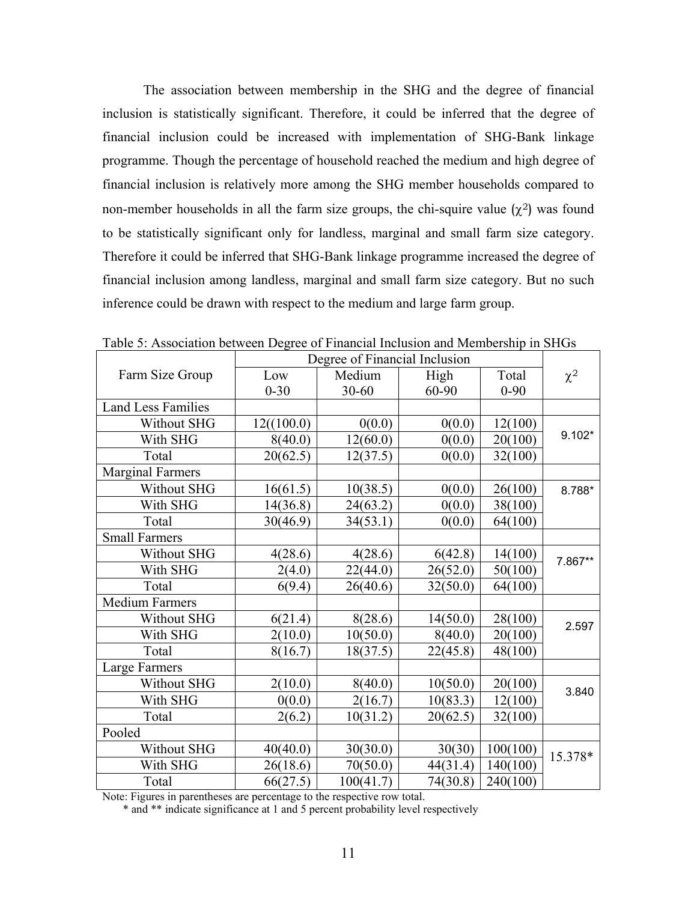The association between membership in the SHG and the degree of financial inclusion is statistically significant. Therefore, it could be inferred that the degree of financial inclusion could be increased with implementation of SHG-Bank linkage programme. Though the percentage of household reached the medium and high degree of financial inclusion is relatively more among the SHG member households compared to non-member households in all the farm size groups, the chi-squire value  $(\chi^2)$  was found to be statistically significant only for landless, marginal and small farm size category. Therefore it could be inferred that SHG-Bank linkage programme increased the degree of financial inclusion among landless, marginal and small farm size category. But no such inference could be drawn with respect to the medium and large farm group.

|                         | Degree of Financial Inclusion |           |          |          |          |
|-------------------------|-------------------------------|-----------|----------|----------|----------|
| Farm Size Group         | Low                           | Medium    | High     | Total    | $\chi^2$ |
|                         | $0 - 30$                      | 30-60     | 60-90    | $0 - 90$ |          |
| Land Less Families      |                               |           |          |          |          |
| Without SHG             | 12((100.0)                    | 0(0.0)    | 0(0.0)   | 12(100)  |          |
| With SHG                | 8(40.0)                       | 12(60.0)  | 0(0.0)   | 20(100)  | $9.102*$ |
| Total                   | 20(62.5)                      | 12(37.5)  | 0(0.0)   | 32(100)  |          |
| <b>Marginal Farmers</b> |                               |           |          |          |          |
| Without SHG             | 16(61.5)                      | 10(38.5)  | 0(0.0)   | 26(100)  | 8.788*   |
| With SHG                | 14(36.8)                      | 24(63.2)  | 0(0.0)   | 38(100)  |          |
| Total                   | 30(46.9)                      | 34(53.1)  | 0(0.0)   | 64(100)  |          |
| <b>Small Farmers</b>    |                               |           |          |          |          |
| Without SHG             | 4(28.6)                       | 4(28.6)   | 6(42.8)  | 14(100)  | 7.867**  |
| With SHG                | 2(4.0)                        | 22(44.0)  | 26(52.0) | 50(100)  |          |
| Total                   | 6(9.4)                        | 26(40.6)  | 32(50.0) | 64(100)  |          |
| <b>Medium Farmers</b>   |                               |           |          |          |          |
| Without SHG             | 6(21.4)                       | 8(28.6)   | 14(50.0) | 28(100)  | 2.597    |
| With SHG                | 2(10.0)                       | 10(50.0)  | 8(40.0)  | 20(100)  |          |
| Total                   | 8(16.7)                       | 18(37.5)  | 22(45.8) | 48(100)  |          |
| Large Farmers           |                               |           |          |          |          |
| Without SHG             | 2(10.0)                       | 8(40.0)   | 10(50.0) | 20(100)  | 3.840    |
| With SHG                | 0(0.0)                        | 2(16.7)   | 10(83.3) | 12(100)  |          |
| Total                   | 2(6.2)                        | 10(31.2)  | 20(62.5) | 32(100)  |          |
| Pooled                  |                               |           |          |          |          |
| Without SHG             | 40(40.0)                      | 30(30.0)  | 30(30)   | 100(100) | 15.378*  |
| With SHG                | 26(18.6)                      | 70(50.0)  | 44(31.4) | 140(100) |          |
| Total                   | 66(27.5)                      | 100(41.7) | 74(30.8) | 240(100) |          |

Table 5: Association between Degree of Financial Inclusion and Membership in SHGs

Note: Figures in parentheses are percentage to the respective row total.

\* and \*\* indicate significance at 1 and 5 percent probability level respectively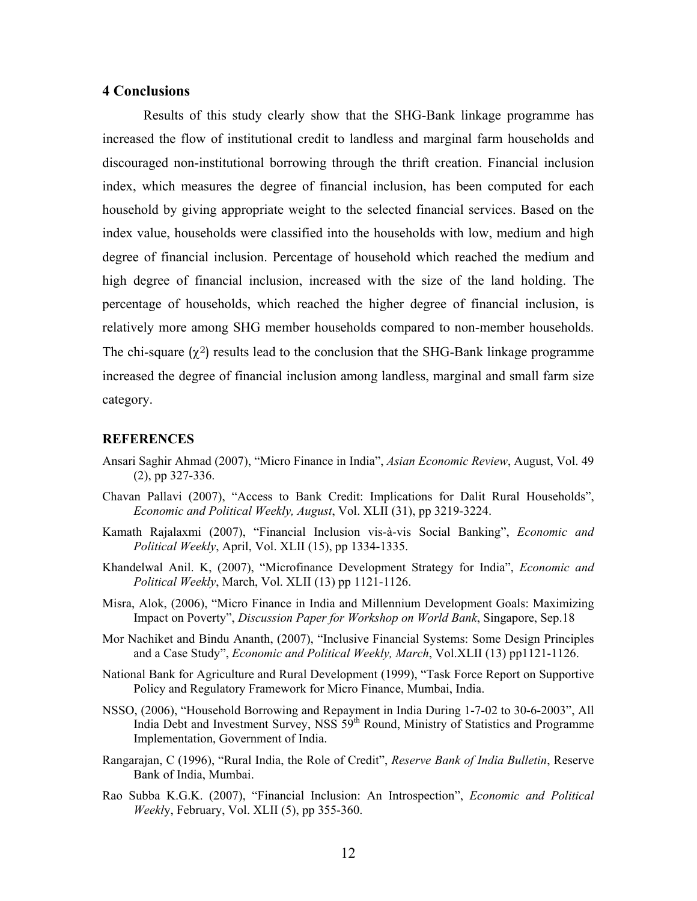#### **4 Conclusions**

Results of this study clearly show that the SHG-Bank linkage programme has increased the flow of institutional credit to landless and marginal farm households and discouraged non-institutional borrowing through the thrift creation. Financial inclusion index, which measures the degree of financial inclusion, has been computed for each household by giving appropriate weight to the selected financial services. Based on the index value, households were classified into the households with low, medium and high degree of financial inclusion. Percentage of household which reached the medium and high degree of financial inclusion, increased with the size of the land holding. The percentage of households, which reached the higher degree of financial inclusion, is relatively more among SHG member households compared to non-member households. The chi-square  $(\chi^2)$  results lead to the conclusion that the SHG-Bank linkage programme increased the degree of financial inclusion among landless, marginal and small farm size category.

#### **REFERENCES**

- Ansari Saghir Ahmad (2007), "Micro Finance in India", *Asian Economic Review*, August, Vol. 49 (2), pp 327-336.
- Chavan Pallavi (2007), "Access to Bank Credit: Implications for Dalit Rural Households", *Economic and Political Weekly, August*, Vol. XLII (31), pp 3219-3224.
- Kamath Rajalaxmi (2007), "Financial Inclusion vis-à-vis Social Banking", *Economic and Political Weekly*, April, Vol. XLII (15), pp 1334-1335.
- Khandelwal Anil. K, (2007), "Microfinance Development Strategy for India", *Economic and Political Weekly*, March, Vol. XLII (13) pp 1121-1126.
- Misra, Alok, (2006), "Micro Finance in India and Millennium Development Goals: Maximizing Impact on Poverty", *Discussion Paper for Workshop on World Bank*, Singapore, Sep.18
- Mor Nachiket and Bindu Ananth, (2007), "Inclusive Financial Systems: Some Design Principles and a Case Study", *Economic and Political Weekly, March*, Vol.XLII (13) pp1121-1126.
- National Bank for Agriculture and Rural Development (1999), "Task Force Report on Supportive Policy and Regulatory Framework for Micro Finance, Mumbai, India.
- NSSO, (2006), "Household Borrowing and Repayment in India During 1-7-02 to 30-6-2003", All India Debt and Investment Survey, NSS 59<sup>th</sup> Round, Ministry of Statistics and Programme Implementation, Government of India.
- Rangarajan, C (1996), "Rural India, the Role of Credit", *Reserve Bank of India Bulletin*, Reserve Bank of India, Mumbai.
- Rao Subba K.G.K. (2007), "Financial Inclusion: An Introspection", *Economic and Political Weekl*y, February, Vol. XLII (5), pp 355-360.